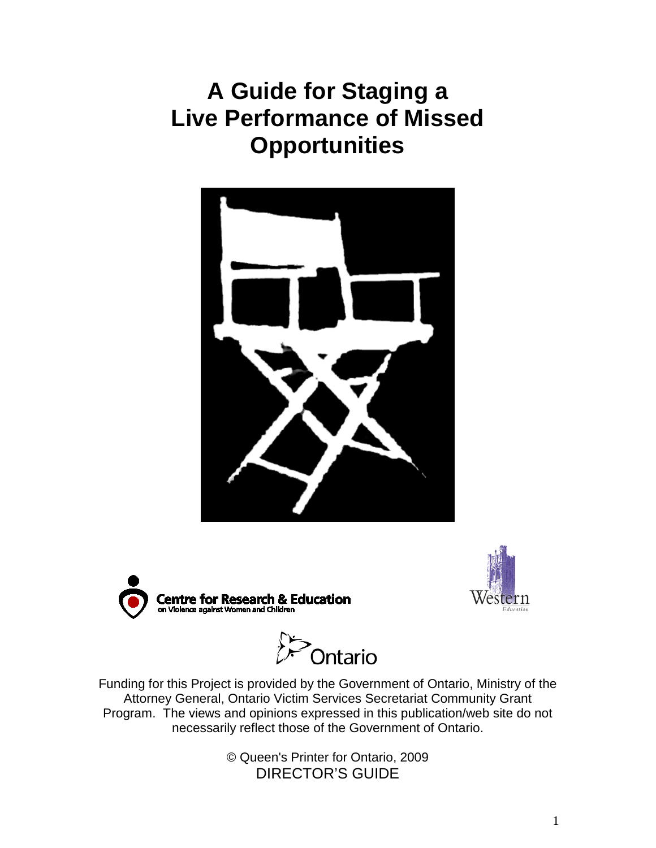# **A Guide for Staging a Live Performance of Missed Opportunities**







.<br>Ontario

Funding for this Project is provided by the Government of Ontario, Ministry of the Attorney General, Ontario Victim Services Secretariat Community Grant Program. The views and opinions expressed in this publication/web site do not necessarily reflect those of the Government of Ontario.

> © Queen's Printer for Ontario, 2009 DIRECTOR'S GUIDE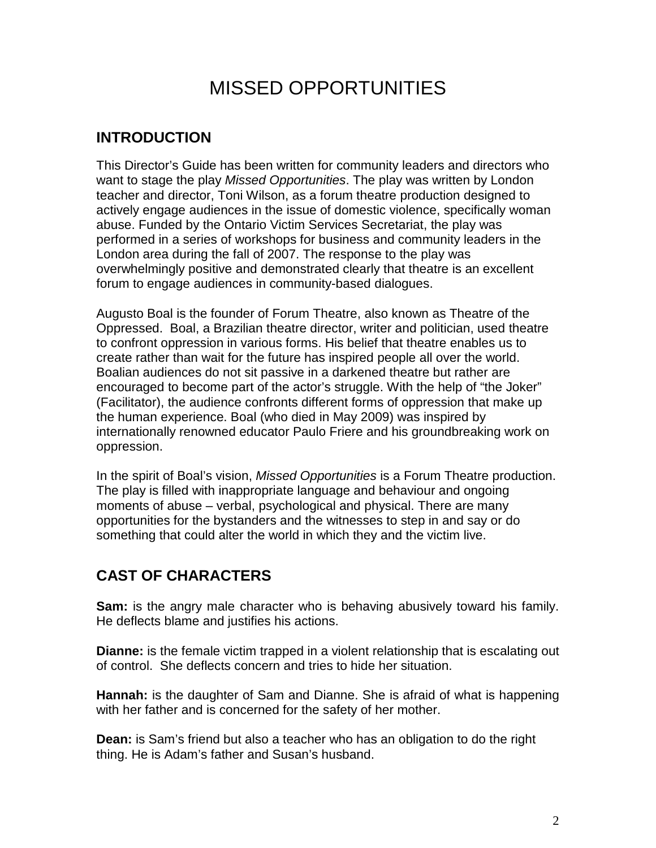# MISSED OPPORTUNITIES

# **INTRODUCTION**

This Director's Guide has been written for community leaders and directors who want to stage the play *Missed Opportunities*. The play was written by London teacher and director, Toni Wilson, as a forum theatre production designed to actively engage audiences in the issue of domestic violence, specifically woman abuse. Funded by the Ontario Victim Services Secretariat, the play was performed in a series of workshops for business and community leaders in the London area during the fall of 2007. The response to the play was overwhelmingly positive and demonstrated clearly that theatre is an excellent forum to engage audiences in community-based dialogues.

Augusto Boal is the founder of Forum Theatre, also known as Theatre of the Oppressed. Boal, a Brazilian theatre director, writer and politician, used theatre to confront oppression in various forms. His belief that theatre enables us to create rather than wait for the future has inspired people all over the world. Boalian audiences do not sit passive in a darkened theatre but rather are encouraged to become part of the actor's struggle. With the help of "the Joker" (Facilitator), the audience confronts different forms of oppression that make up the human experience. Boal (who died in May 2009) was inspired by internationally renowned educator Paulo Friere and his groundbreaking work on oppression.

In the spirit of Boal's vision, *Missed Opportunities* is a Forum Theatre production. The play is filled with inappropriate language and behaviour and ongoing moments of abuse – verbal, psychological and physical. There are many opportunities for the bystanders and the witnesses to step in and say or do something that could alter the world in which they and the victim live.

# **CAST OF CHARACTERS**

**Sam:** is the angry male character who is behaving abusively toward his family. He deflects blame and justifies his actions.

**Dianne:** is the female victim trapped in a violent relationship that is escalating out of control. She deflects concern and tries to hide her situation.

**Hannah:** is the daughter of Sam and Dianne. She is afraid of what is happening with her father and is concerned for the safety of her mother.

**Dean:** is Sam's friend but also a teacher who has an obligation to do the right thing. He is Adam's father and Susan's husband.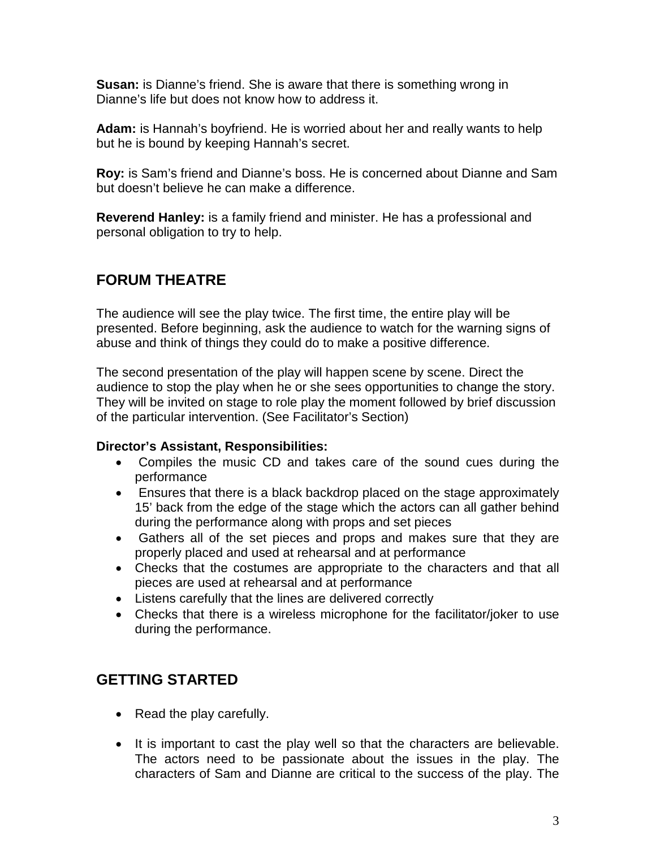**Susan:** is Dianne's friend. She is aware that there is something wrong in Dianne's life but does not know how to address it.

**Adam:** is Hannah's boyfriend. He is worried about her and really wants to help but he is bound by keeping Hannah's secret.

**Roy:** is Sam's friend and Dianne's boss. He is concerned about Dianne and Sam but doesn't believe he can make a difference.

**Reverend Hanley:** is a family friend and minister. He has a professional and personal obligation to try to help.

## **FORUM THEATRE**

The audience will see the play twice. The first time, the entire play will be presented. Before beginning, ask the audience to watch for the warning signs of abuse and think of things they could do to make a positive difference.

The second presentation of the play will happen scene by scene. Direct the audience to stop the play when he or she sees opportunities to change the story. They will be invited on stage to role play the moment followed by brief discussion of the particular intervention. (See Facilitator's Section)

### **Director's Assistant, Responsibilities:**

- Compiles the music CD and takes care of the sound cues during the performance
- Ensures that there is a black backdrop placed on the stage approximately 15' back from the edge of the stage which the actors can all gather behind during the performance along with props and set pieces
- Gathers all of the set pieces and props and makes sure that they are properly placed and used at rehearsal and at performance
- Checks that the costumes are appropriate to the characters and that all pieces are used at rehearsal and at performance
- Listens carefully that the lines are delivered correctly
- Checks that there is a wireless microphone for the facilitator/joker to use during the performance.

## **GETTING STARTED**

- Read the play carefully.
- It is important to cast the play well so that the characters are believable. The actors need to be passionate about the issues in the play. The characters of Sam and Dianne are critical to the success of the play. The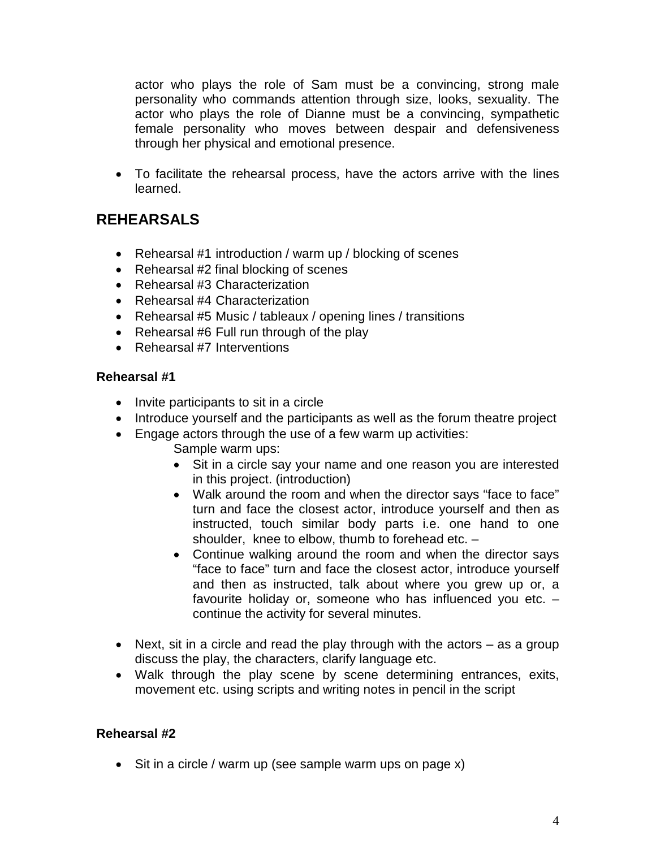actor who plays the role of Sam must be a convincing, strong male personality who commands attention through size, looks, sexuality. The actor who plays the role of Dianne must be a convincing, sympathetic female personality who moves between despair and defensiveness through her physical and emotional presence.

• To facilitate the rehearsal process, have the actors arrive with the lines learned.

# **REHEARSALS**

- Rehearsal #1 introduction / warm up / blocking of scenes
- Rehearsal #2 final blocking of scenes
- Rehearsal #3 Characterization
- Rehearsal #4 Characterization
- Rehearsal #5 Music / tableaux / opening lines / transitions
- Rehearsal #6 Full run through of the play
- Rehearsal #7 Interventions

#### **Rehearsal #1**

- Invite participants to sit in a circle
- Introduce yourself and the participants as well as the forum theatre project
- Engage actors through the use of a few warm up activities:
	- Sample warm ups:
	- Sit in a circle say your name and one reason you are interested in this project. (introduction)
	- Walk around the room and when the director says "face to face" turn and face the closest actor, introduce yourself and then as instructed, touch similar body parts i.e. one hand to one shoulder, knee to elbow, thumb to forehead etc. –
	- Continue walking around the room and when the director says "face to face" turn and face the closest actor, introduce yourself and then as instructed, talk about where you grew up or, a favourite holiday or, someone who has influenced you etc. – continue the activity for several minutes.
- Next, sit in a circle and read the play through with the actors as a group discuss the play, the characters, clarify language etc.
- Walk through the play scene by scene determining entrances, exits, movement etc. using scripts and writing notes in pencil in the script

#### **Rehearsal #2**

• Sit in a circle / warm up (see sample warm ups on page x)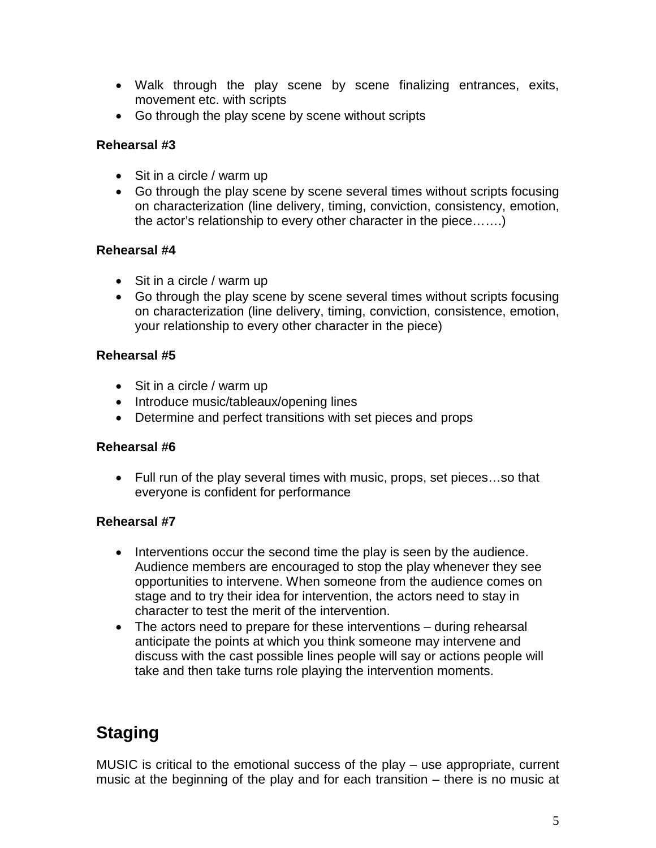- Walk through the play scene by scene finalizing entrances, exits, movement etc. with scripts
- Go through the play scene by scene without scripts

#### **Rehearsal #3**

- Sit in a circle / warm up
- Go through the play scene by scene several times without scripts focusing on characterization (line delivery, timing, conviction, consistency, emotion, the actor's relationship to every other character in the piece…….)

#### **Rehearsal #4**

- Sit in a circle / warm up
- Go through the play scene by scene several times without scripts focusing on characterization (line delivery, timing, conviction, consistence, emotion, your relationship to every other character in the piece)

#### **Rehearsal #5**

- Sit in a circle / warm up
- Introduce music/tableaux/opening lines
- Determine and perfect transitions with set pieces and props

#### **Rehearsal #6**

• Full run of the play several times with music, props, set pieces…so that everyone is confident for performance

#### **Rehearsal #7**

- Interventions occur the second time the play is seen by the audience. Audience members are encouraged to stop the play whenever they see opportunities to intervene. When someone from the audience comes on stage and to try their idea for intervention, the actors need to stay in character to test the merit of the intervention.
- The actors need to prepare for these interventions during rehearsal anticipate the points at which you think someone may intervene and discuss with the cast possible lines people will say or actions people will take and then take turns role playing the intervention moments.

# **Staging**

MUSIC is critical to the emotional success of the play – use appropriate, current music at the beginning of the play and for each transition – there is no music at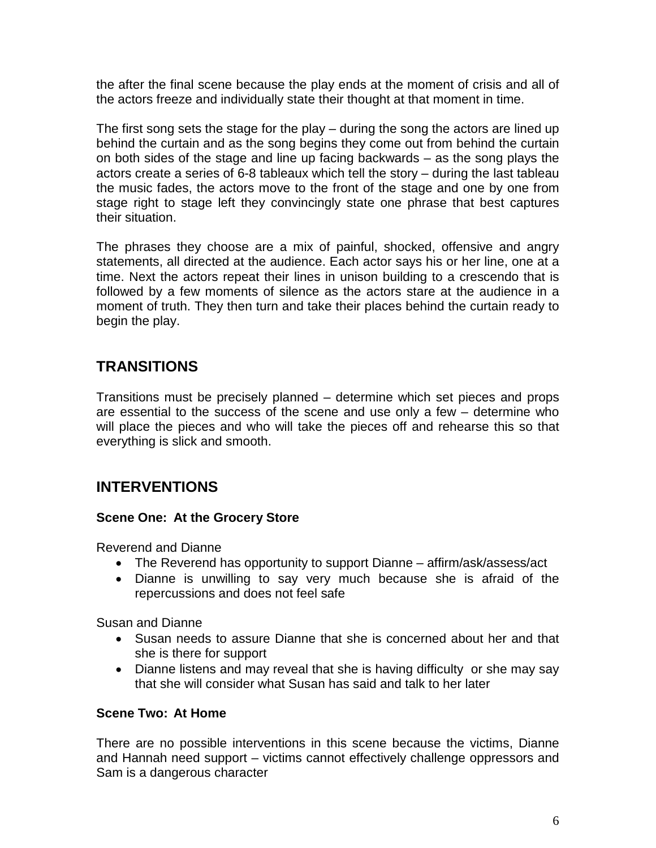the after the final scene because the play ends at the moment of crisis and all of the actors freeze and individually state their thought at that moment in time.

The first song sets the stage for the play – during the song the actors are lined up behind the curtain and as the song begins they come out from behind the curtain on both sides of the stage and line up facing backwards – as the song plays the actors create a series of 6-8 tableaux which tell the story – during the last tableau the music fades, the actors move to the front of the stage and one by one from stage right to stage left they convincingly state one phrase that best captures their situation.

The phrases they choose are a mix of painful, shocked, offensive and angry statements, all directed at the audience. Each actor says his or her line, one at a time. Next the actors repeat their lines in unison building to a crescendo that is followed by a few moments of silence as the actors stare at the audience in a moment of truth. They then turn and take their places behind the curtain ready to begin the play.

## **TRANSITIONS**

Transitions must be precisely planned – determine which set pieces and props are essential to the success of the scene and use only a few – determine who will place the pieces and who will take the pieces off and rehearse this so that everything is slick and smooth.

## **INTERVENTIONS**

#### **Scene One: At the Grocery Store**

Reverend and Dianne

- The Reverend has opportunity to support Dianne affirm/ask/assess/act
- Dianne is unwilling to say very much because she is afraid of the repercussions and does not feel safe

Susan and Dianne

- Susan needs to assure Dianne that she is concerned about her and that she is there for support
- Dianne listens and may reveal that she is having difficulty or she may say that she will consider what Susan has said and talk to her later

#### **Scene Two: At Home**

There are no possible interventions in this scene because the victims, Dianne and Hannah need support – victims cannot effectively challenge oppressors and Sam is a dangerous character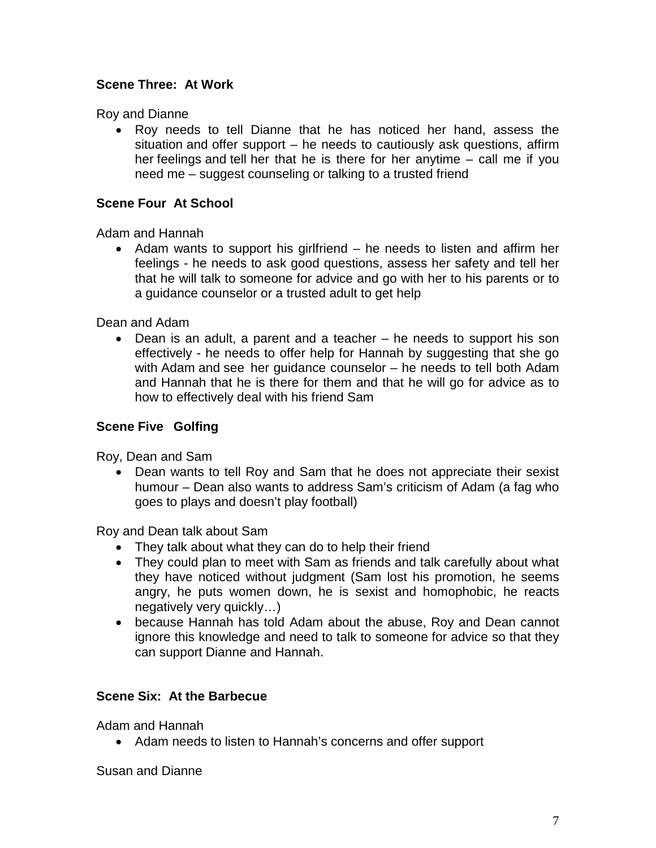### **Scene Three: At Work**

Roy and Dianne

• Roy needs to tell Dianne that he has noticed her hand, assess the situation and offer support – he needs to cautiously ask questions, affirm her feelings and tell her that he is there for her anytime – call me if you need me – suggest counseling or talking to a trusted friend

#### **Scene Four At School**

Adam and Hannah

• Adam wants to support his girlfriend – he needs to listen and affirm her feelings - he needs to ask good questions, assess her safety and tell her that he will talk to someone for advice and go with her to his parents or to a guidance counselor or a trusted adult to get help

Dean and Adam

• Dean is an adult, a parent and a teacher – he needs to support his son effectively - he needs to offer help for Hannah by suggesting that she go with Adam and see her guidance counselor – he needs to tell both Adam and Hannah that he is there for them and that he will go for advice as to how to effectively deal with his friend Sam

#### **Scene Five Golfing**

Roy, Dean and Sam

• Dean wants to tell Roy and Sam that he does not appreciate their sexist humour – Dean also wants to address Sam's criticism of Adam (a fag who goes to plays and doesn't play football)

Roy and Dean talk about Sam

- They talk about what they can do to help their friend
- They could plan to meet with Sam as friends and talk carefully about what they have noticed without judgment (Sam lost his promotion, he seems angry, he puts women down, he is sexist and homophobic, he reacts negatively very quickly…)
- because Hannah has told Adam about the abuse, Roy and Dean cannot ignore this knowledge and need to talk to someone for advice so that they can support Dianne and Hannah.

#### **Scene Six: At the Barbecue**

Adam and Hannah

• Adam needs to listen to Hannah's concerns and offer support

Susan and Dianne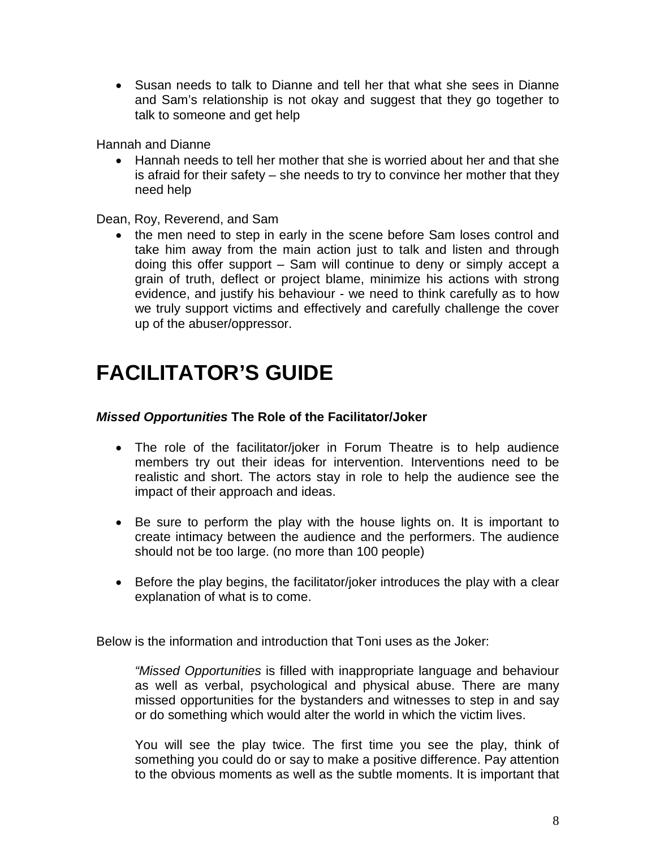• Susan needs to talk to Dianne and tell her that what she sees in Dianne and Sam's relationship is not okay and suggest that they go together to talk to someone and get help

Hannah and Dianne

• Hannah needs to tell her mother that she is worried about her and that she is afraid for their safety – she needs to try to convince her mother that they need help

Dean, Roy, Reverend, and Sam

• the men need to step in early in the scene before Sam loses control and take him away from the main action just to talk and listen and through doing this offer support – Sam will continue to deny or simply accept a grain of truth, deflect or project blame, minimize his actions with strong evidence, and justify his behaviour - we need to think carefully as to how we truly support victims and effectively and carefully challenge the cover up of the abuser/oppressor.

# **FACILITATOR'S GUIDE**

#### *Missed Opportunities* **The Role of the Facilitator/Joker**

- The role of the facilitator/joker in Forum Theatre is to help audience members try out their ideas for intervention. Interventions need to be realistic and short. The actors stay in role to help the audience see the impact of their approach and ideas.
- Be sure to perform the play with the house lights on. It is important to create intimacy between the audience and the performers. The audience should not be too large. (no more than 100 people)
- Before the play begins, the facilitator/joker introduces the play with a clear explanation of what is to come.

Below is the information and introduction that Toni uses as the Joker:

*"Missed Opportunities* is filled with inappropriate language and behaviour as well as verbal, psychological and physical abuse. There are many missed opportunities for the bystanders and witnesses to step in and say or do something which would alter the world in which the victim lives.

You will see the play twice. The first time you see the play, think of something you could do or say to make a positive difference. Pay attention to the obvious moments as well as the subtle moments. It is important that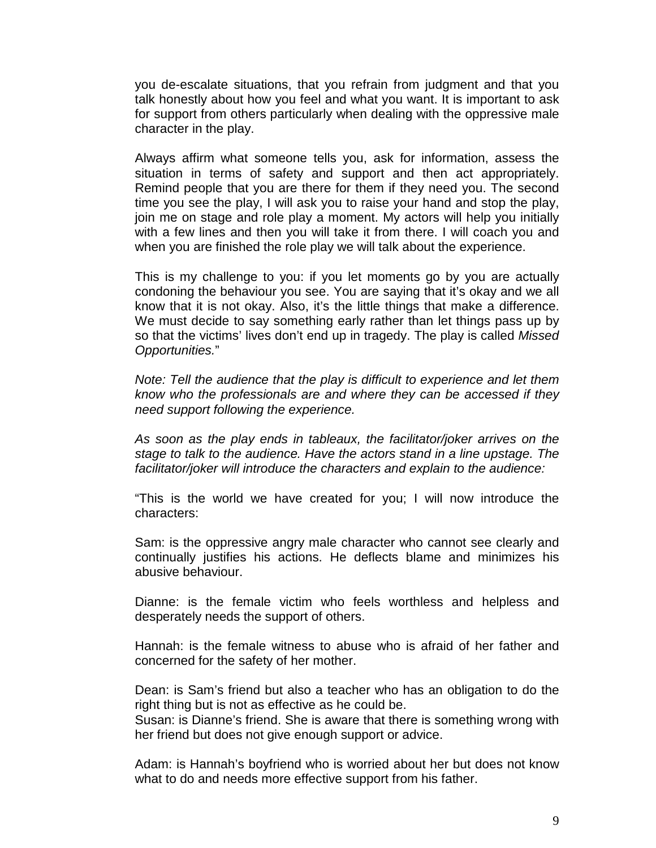you de-escalate situations, that you refrain from judgment and that you talk honestly about how you feel and what you want. It is important to ask for support from others particularly when dealing with the oppressive male character in the play.

Always affirm what someone tells you, ask for information, assess the situation in terms of safety and support and then act appropriately. Remind people that you are there for them if they need you. The second time you see the play, I will ask you to raise your hand and stop the play, join me on stage and role play a moment. My actors will help you initially with a few lines and then you will take it from there. I will coach you and when you are finished the role play we will talk about the experience.

This is my challenge to you: if you let moments go by you are actually condoning the behaviour you see. You are saying that it's okay and we all know that it is not okay. Also, it's the little things that make a difference. We must decide to say something early rather than let things pass up by so that the victims' lives don't end up in tragedy. The play is called *Missed Opportunities.*"

*Note: Tell the audience that the play is difficult to experience and let them know who the professionals are and where they can be accessed if they need support following the experience.* 

*As soon as the play ends in tableaux, the facilitator/joker arrives on the stage to talk to the audience. Have the actors stand in a line upstage. The facilitator/joker will introduce the characters and explain to the audience:*

"This is the world we have created for you; I will now introduce the characters:

Sam: is the oppressive angry male character who cannot see clearly and continually justifies his actions. He deflects blame and minimizes his abusive behaviour.

Dianne: is the female victim who feels worthless and helpless and desperately needs the support of others.

Hannah: is the female witness to abuse who is afraid of her father and concerned for the safety of her mother.

Dean: is Sam's friend but also a teacher who has an obligation to do the right thing but is not as effective as he could be.

Susan: is Dianne's friend. She is aware that there is something wrong with her friend but does not give enough support or advice.

Adam: is Hannah's boyfriend who is worried about her but does not know what to do and needs more effective support from his father.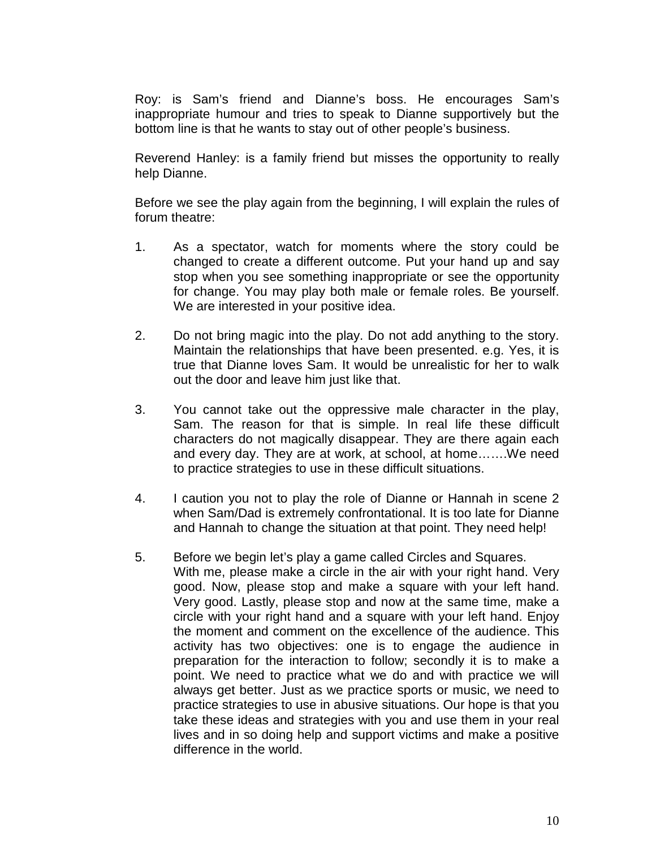Roy: is Sam's friend and Dianne's boss. He encourages Sam's inappropriate humour and tries to speak to Dianne supportively but the bottom line is that he wants to stay out of other people's business.

Reverend Hanley: is a family friend but misses the opportunity to really help Dianne.

Before we see the play again from the beginning, I will explain the rules of forum theatre:

- 1. As a spectator, watch for moments where the story could be changed to create a different outcome. Put your hand up and say stop when you see something inappropriate or see the opportunity for change. You may play both male or female roles. Be yourself. We are interested in your positive idea.
- 2. Do not bring magic into the play. Do not add anything to the story. Maintain the relationships that have been presented. e.g. Yes, it is true that Dianne loves Sam. It would be unrealistic for her to walk out the door and leave him just like that.
- 3. You cannot take out the oppressive male character in the play, Sam. The reason for that is simple. In real life these difficult characters do not magically disappear. They are there again each and every day. They are at work, at school, at home…….We need to practice strategies to use in these difficult situations.
- 4. I caution you not to play the role of Dianne or Hannah in scene 2 when Sam/Dad is extremely confrontational. It is too late for Dianne and Hannah to change the situation at that point. They need help!
- 5. Before we begin let's play a game called Circles and Squares. With me, please make a circle in the air with your right hand. Very good. Now, please stop and make a square with your left hand. Very good. Lastly, please stop and now at the same time, make a circle with your right hand and a square with your left hand. Enjoy the moment and comment on the excellence of the audience. This activity has two objectives: one is to engage the audience in preparation for the interaction to follow; secondly it is to make a point. We need to practice what we do and with practice we will always get better. Just as we practice sports or music, we need to practice strategies to use in abusive situations. Our hope is that you take these ideas and strategies with you and use them in your real lives and in so doing help and support victims and make a positive difference in the world.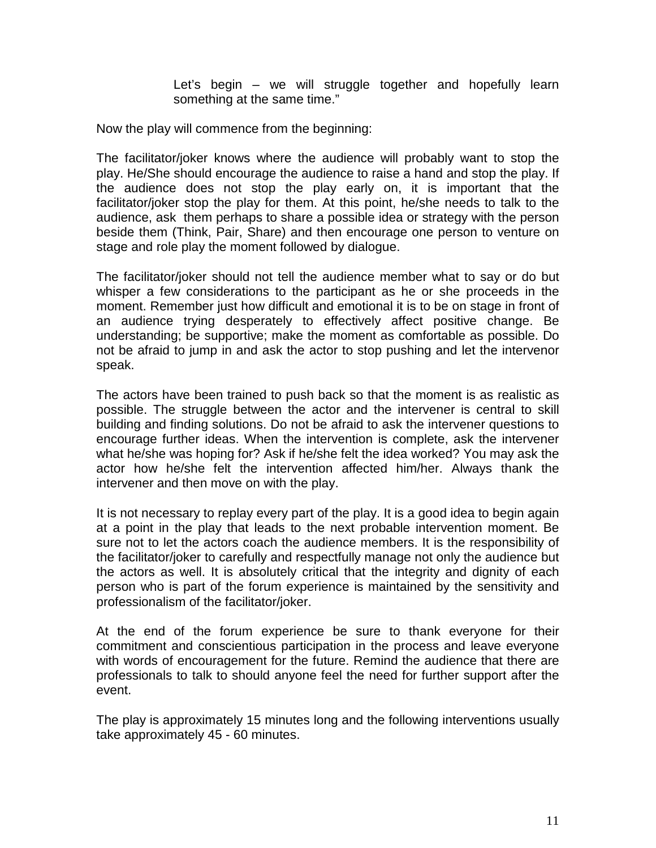Let's begin – we will struggle together and hopefully learn something at the same time."

Now the play will commence from the beginning:

The facilitator/joker knows where the audience will probably want to stop the play. He/She should encourage the audience to raise a hand and stop the play. If the audience does not stop the play early on, it is important that the facilitator/joker stop the play for them. At this point, he/she needs to talk to the audience, ask them perhaps to share a possible idea or strategy with the person beside them (Think, Pair, Share) and then encourage one person to venture on stage and role play the moment followed by dialogue.

The facilitator/joker should not tell the audience member what to say or do but whisper a few considerations to the participant as he or she proceeds in the moment. Remember just how difficult and emotional it is to be on stage in front of an audience trying desperately to effectively affect positive change. Be understanding; be supportive; make the moment as comfortable as possible. Do not be afraid to jump in and ask the actor to stop pushing and let the intervenor speak.

The actors have been trained to push back so that the moment is as realistic as possible. The struggle between the actor and the intervener is central to skill building and finding solutions. Do not be afraid to ask the intervener questions to encourage further ideas. When the intervention is complete, ask the intervener what he/she was hoping for? Ask if he/she felt the idea worked? You may ask the actor how he/she felt the intervention affected him/her. Always thank the intervener and then move on with the play.

It is not necessary to replay every part of the play. It is a good idea to begin again at a point in the play that leads to the next probable intervention moment. Be sure not to let the actors coach the audience members. It is the responsibility of the facilitator/joker to carefully and respectfully manage not only the audience but the actors as well. It is absolutely critical that the integrity and dignity of each person who is part of the forum experience is maintained by the sensitivity and professionalism of the facilitator/joker.

At the end of the forum experience be sure to thank everyone for their commitment and conscientious participation in the process and leave everyone with words of encouragement for the future. Remind the audience that there are professionals to talk to should anyone feel the need for further support after the event.

The play is approximately 15 minutes long and the following interventions usually take approximately 45 - 60 minutes.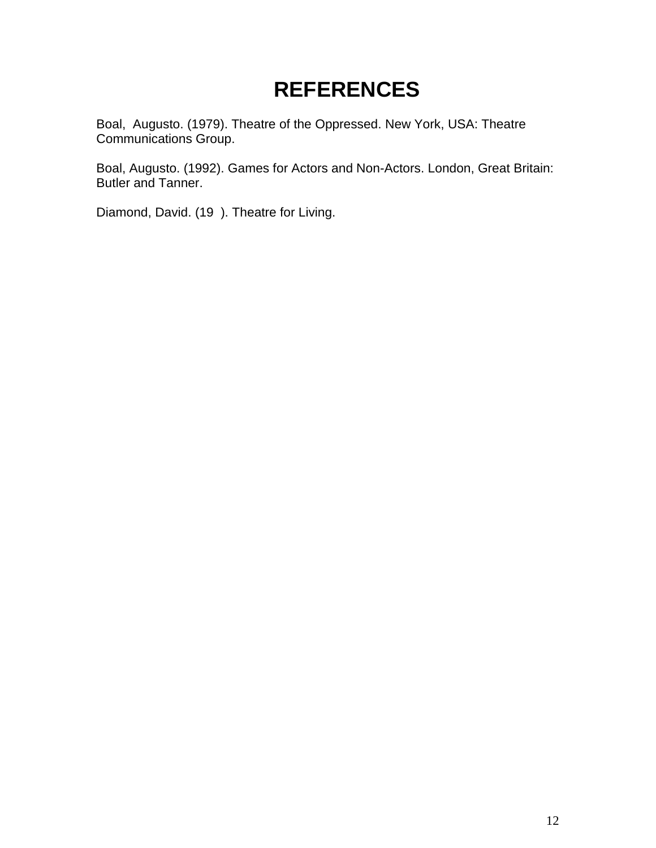# **REFERENCES**

Boal, Augusto. (1979). Theatre of the Oppressed. New York, USA: Theatre Communications Group.

Boal, Augusto. (1992). Games for Actors and Non-Actors. London, Great Britain: Butler and Tanner.

Diamond, David. (19 ). Theatre for Living.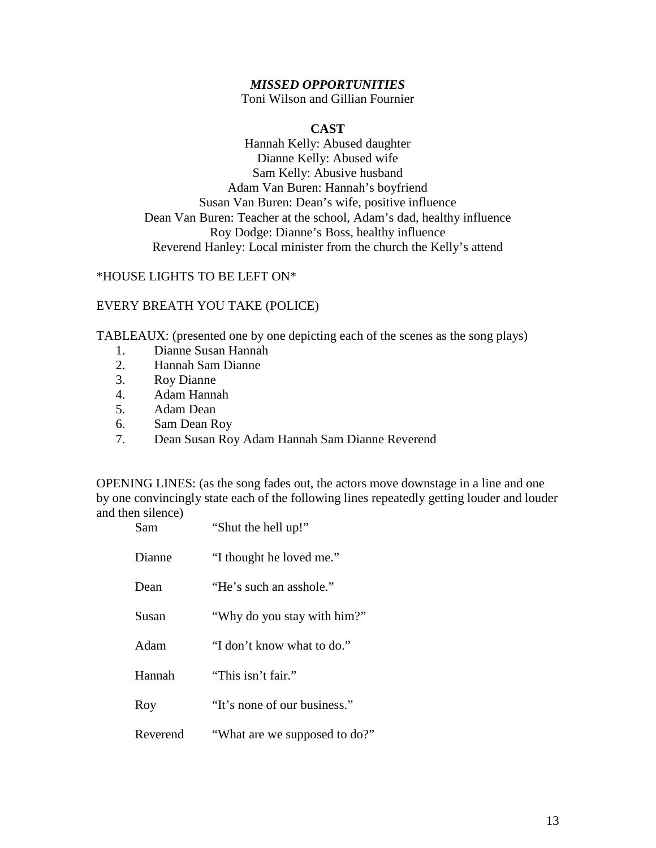#### *MISSED OPPORTUNITIES*

Toni Wilson and Gillian Fournier

#### **CAST**

Hannah Kelly: Abused daughter Dianne Kelly: Abused wife Sam Kelly: Abusive husband Adam Van Buren: Hannah's boyfriend Susan Van Buren: Dean's wife, positive influence Dean Van Buren: Teacher at the school, Adam's dad, healthy influence Roy Dodge: Dianne's Boss, healthy influence Reverend Hanley: Local minister from the church the Kelly's attend

#### \*HOUSE LIGHTS TO BE LEFT ON\*

#### EVERY BREATH YOU TAKE (POLICE)

TABLEAUX: (presented one by one depicting each of the scenes as the song plays)

- 1. Dianne Susan Hannah
- 2. Hannah Sam Dianne
- 3. Roy Dianne
- 4. Adam Hannah
- 5. Adam Dean
- 6. Sam Dean Roy
- 7. Dean Susan Roy Adam Hannah Sam Dianne Reverend

OPENING LINES: (as the song fades out, the actors move downstage in a line and one by one convincingly state each of the following lines repeatedly getting louder and louder and then silence)  $SO<sub>3</sub>$  the hell up!"

| эаш      | Shut the new up:              |
|----------|-------------------------------|
| Dianne   | "I thought he loved me."      |
| Dean     | "He's such an asshole."       |
| Susan    | "Why do you stay with him?"   |
| Adam     | "I don't know what to do."    |
| Hannah   | "This isn't fair."            |
| Roy      | "It's none of our business."  |
| Reverend | "What are we supposed to do?" |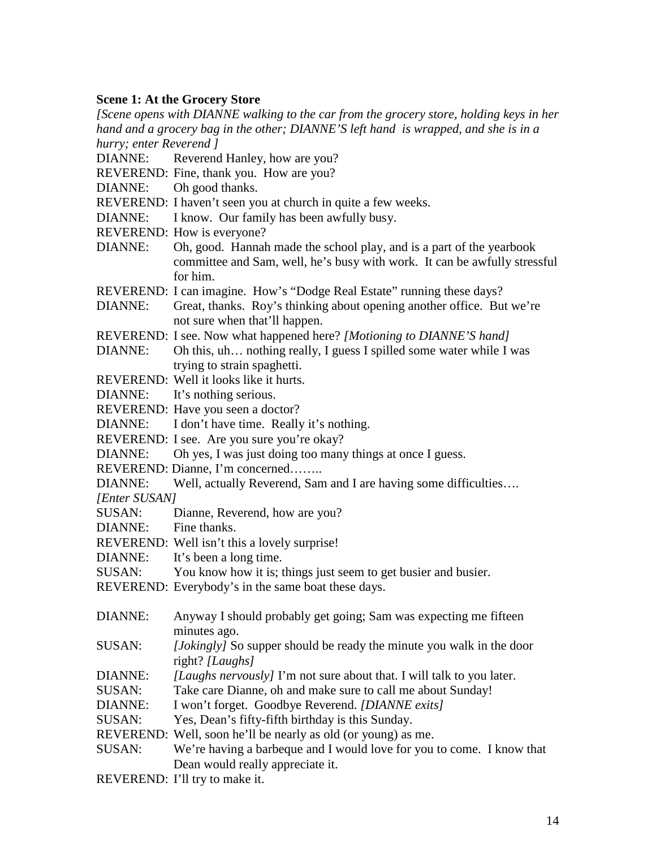#### **Scene 1: At the Grocery Store**

*[Scene opens with DIANNE walking to the car from the grocery store, holding keys in her hand and a grocery bag in the other; DIANNE'S left hand is wrapped, and she is in a hurry; enter Reverend ]*

- DIANNE: Reverend Hanley, how are you?
- REVEREND: Fine, thank you. How are you?
- DIANNE: Oh good thanks.
- REVEREND: I haven't seen you at church in quite a few weeks.
- DIANNE: I know. Our family has been awfully busy.
- REVEREND: How is everyone?
- DIANNE: Oh, good. Hannah made the school play, and is a part of the yearbook committee and Sam, well, he's busy with work. It can be awfully stressful for him.
- REVEREND: I can imagine. How's "Dodge Real Estate" running these days?
- DIANNE: Great, thanks. Roy's thinking about opening another office. But we're not sure when that'll happen.
- REVEREND: I see. Now what happened here? *[Motioning to DIANNE'S hand]*
- DIANNE: Oh this, uh... nothing really, I guess I spilled some water while I was trying to strain spaghetti.
- REVEREND: Well it looks like it hurts.
- DIANNE: It's nothing serious.
- REVEREND: Have you seen a doctor?
- DIANNE: I don't have time. Really it's nothing.
- REVEREND: I see. Are you sure you're okay?
- DIANNE: Oh yes, I was just doing too many things at once I guess.
- REVEREND: Dianne, I'm concerned……..
- DIANNE: Well, actually Reverend, Sam and I are having some difficulties....
- *[Enter SUSAN]*
- SUSAN: Dianne, Reverend, how are you?
- DIANNE: Fine thanks.
- REVEREND: Well isn't this a lovely surprise!
- DIANNE: It's been a long time.
- SUSAN: You know how it is; things just seem to get busier and busier.
- REVEREND: Everybody's in the same boat these days.
- DIANNE: Anyway I should probably get going; Sam was expecting me fifteen minutes ago.
- SUSAN: *[Jokingly]* So supper should be ready the minute you walk in the door right? *[Laughs]*
- DIANNE: *[Laughs nervously]* I'm not sure about that. I will talk to you later.
- SUSAN: Take care Dianne, oh and make sure to call me about Sunday!
- DIANNE: I won't forget. Goodbye Reverend. *[DIANNE exits]*
- SUSAN: Yes, Dean's fifty-fifth birthday is this Sunday.
- REVEREND: Well, soon he'll be nearly as old (or young) as me.
- SUSAN: We're having a barbeque and I would love for you to come. I know that Dean would really appreciate it.
- REVEREND: I'll try to make it.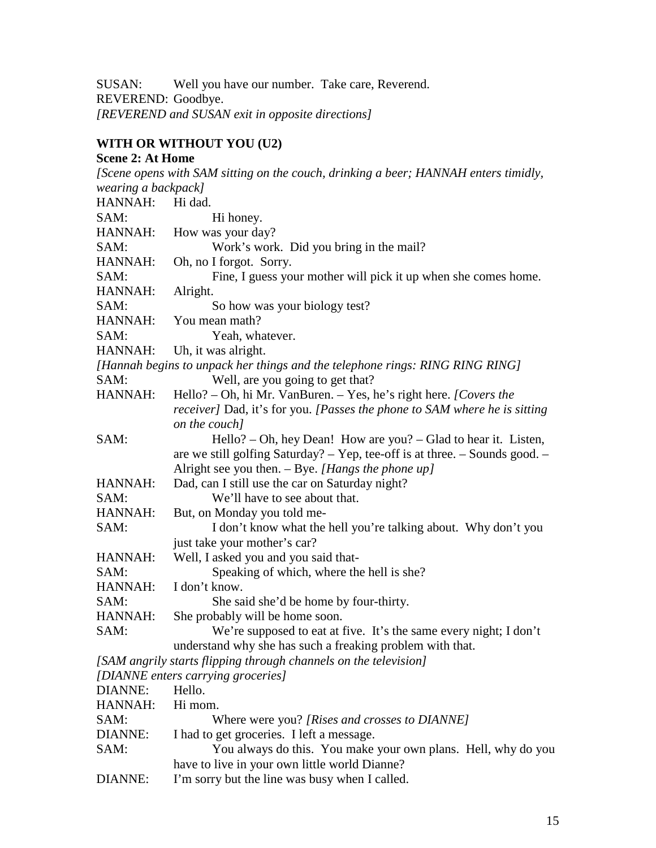SUSAN: Well you have our number. Take care, Reverend. REVEREND: Goodbye. *[REVEREND and SUSAN exit in opposite directions]*

## **WITH OR WITHOUT YOU (U2)**

| <b>Scene 2: At Home</b> |                                                                                     |
|-------------------------|-------------------------------------------------------------------------------------|
|                         | [Scene opens with SAM sitting on the couch, drinking a beer; HANNAH enters timidly, |
| wearing a backpack]     |                                                                                     |
| HANNAH:                 | Hi dad.                                                                             |
| SAM:                    | Hi honey.                                                                           |
| HANNAH:                 | How was your day?                                                                   |
| SAM:                    | Work's work. Did you bring in the mail?                                             |
| HANNAH:                 | Oh, no I forgot. Sorry.                                                             |
| SAM:                    | Fine, I guess your mother will pick it up when she comes home.                      |
| HANNAH:                 | Alright.                                                                            |
| SAM:                    | So how was your biology test?                                                       |
| HANNAH:                 | You mean math?                                                                      |
| SAM:                    | Yeah, whatever.                                                                     |
| HANNAH:                 | Uh, it was alright.                                                                 |
|                         | [Hannah begins to unpack her things and the telephone rings: RING RING RING]        |
| SAM:                    | Well, are you going to get that?                                                    |
| HANNAH:                 | Hello? - Oh, hi Mr. VanBuren. - Yes, he's right here. [Covers the                   |
|                         | <i>receiver]</i> Dad, it's for you. [Passes the phone to SAM where he is sitting    |
|                         | on the couch]                                                                       |
| SAM:                    | Hello? – Oh, hey Dean! How are you? – Glad to hear it. Listen,                      |
|                         | are we still golfing Saturday? $-$ Yep, tee-off is at three. $-$ Sounds good. $-$   |
|                         | Alright see you then. $-$ Bye. [Hangs the phone up]                                 |
| HANNAH:                 | Dad, can I still use the car on Saturday night?                                     |
| SAM:                    | We'll have to see about that.                                                       |
| HANNAH:                 | But, on Monday you told me-                                                         |
| SAM:                    | I don't know what the hell you're talking about. Why don't you                      |
|                         | just take your mother's car?                                                        |
| HANNAH:                 | Well, I asked you and you said that-                                                |
| SAM:                    | Speaking of which, where the hell is she?                                           |
| HANNAH:                 | I don't know.                                                                       |
| SAM:                    | She said she'd be home by four-thirty.                                              |
| HANNAH:                 | She probably will be home soon.                                                     |
| SAM:                    | We're supposed to eat at five. It's the same every night; I don't                   |
|                         | understand why she has such a freaking problem with that.                           |
|                         | [SAM angrily starts flipping through channels on the television]                    |
|                         | [DIANNE enters carrying groceries]                                                  |
| <b>DIANNE:</b>          | Hello.                                                                              |
| HANNAH:                 | Hi mom.                                                                             |
| SAM:                    | Where were you? [Rises and crosses to DIANNE]                                       |
| <b>DIANNE:</b>          | I had to get groceries. I left a message.                                           |
| SAM:                    | You always do this. You make your own plans. Hell, why do you                       |
|                         | have to live in your own little world Dianne?                                       |
| <b>DIANNE:</b>          | I'm sorry but the line was busy when I called.                                      |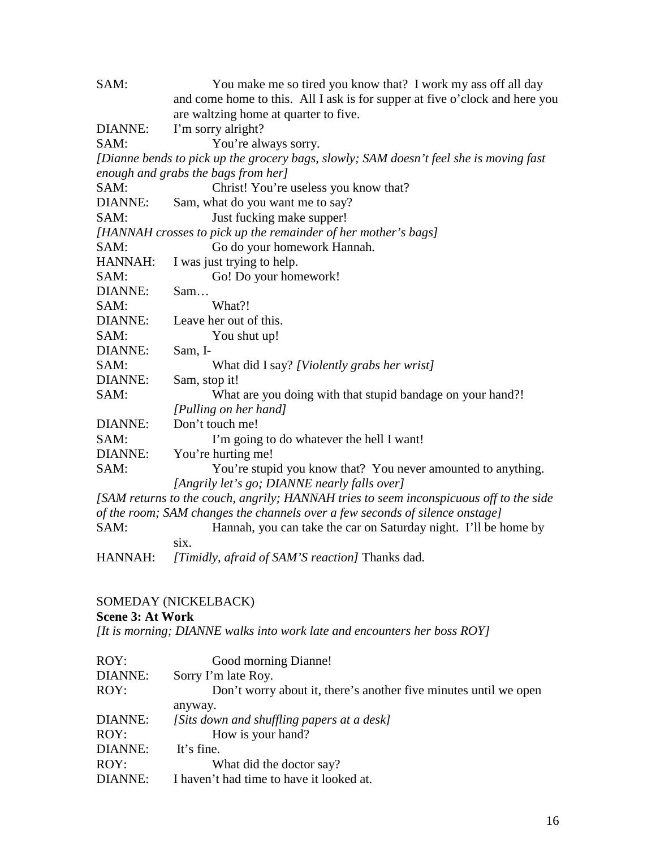| SAM:           | You make me so tired you know that? I work my ass off all day                          |
|----------------|----------------------------------------------------------------------------------------|
|                | and come home to this. All I ask is for supper at five o'clock and here you            |
|                | are waltzing home at quarter to five.                                                  |
| DIANNE:        | I'm sorry alright?                                                                     |
| SAM:           | You're always sorry.                                                                   |
|                | [Dianne bends to pick up the grocery bags, slowly; SAM doesn't feel she is moving fast |
|                | enough and grabs the bags from her]                                                    |
| SAM:           | Christ! You're useless you know that?                                                  |
| <b>DIANNE:</b> | Sam, what do you want me to say?                                                       |
| SAM:           | Just fucking make supper!                                                              |
|                | [HANNAH crosses to pick up the remainder of her mother's bags]                         |
| SAM:           | Go do your homework Hannah.                                                            |
| HANNAH:        | I was just trying to help.                                                             |
| SAM:           | Go! Do your homework!                                                                  |
| <b>DIANNE:</b> | Sam                                                                                    |
| SAM:           | What?!                                                                                 |
| <b>DIANNE:</b> | Leave her out of this.                                                                 |
| SAM:           | You shut up!                                                                           |
| <b>DIANNE:</b> | Sam, I-                                                                                |
| SAM:           | What did I say? [Violently grabs her wrist]                                            |
| <b>DIANNE:</b> | Sam, stop it!                                                                          |
| SAM:           | What are you doing with that stupid bandage on your hand?!                             |
|                | [Pulling on her hand]                                                                  |
| <b>DIANNE:</b> | Don't touch me!                                                                        |
| SAM:           | I'm going to do whatever the hell I want!                                              |
| <b>DIANNE:</b> | You're hurting me!                                                                     |
| SAM:           | You're stupid you know that? You never amounted to anything.                           |
|                | [Angrily let's go; DIANNE nearly falls over]                                           |
|                | [SAM returns to the couch, angrily; HANNAH tries to seem inconspicuous off to the side |
|                | of the room; SAM changes the channels over a few seconds of silence onstage]           |
| SAM:           | Hannah, you can take the car on Saturday night. I'll be home by                        |
|                | six.                                                                                   |
| HANNAH:        | [Timidly, afraid of SAM'S reaction] Thanks dad.                                        |

#### SOMEDAY (NICKELBACK)

## **Scene 3: At Work**

*[It is morning; DIANNE walks into work late and encounters her boss ROY]*

| ROY:           | Good morning Dianne!                                             |
|----------------|------------------------------------------------------------------|
| DIANNE:        | Sorry I'm late Roy.                                              |
| ROY:           | Don't worry about it, there's another five minutes until we open |
|                | anyway.                                                          |
| DIANNE:        | [Sits down and shuffling papers at a desk]                       |
| ROY:           | How is your hand?                                                |
| DIANNE:        | It's fine.                                                       |
| ROY:           | What did the doctor say?                                         |
| <b>DIANNE:</b> | I haven't had time to have it looked at.                         |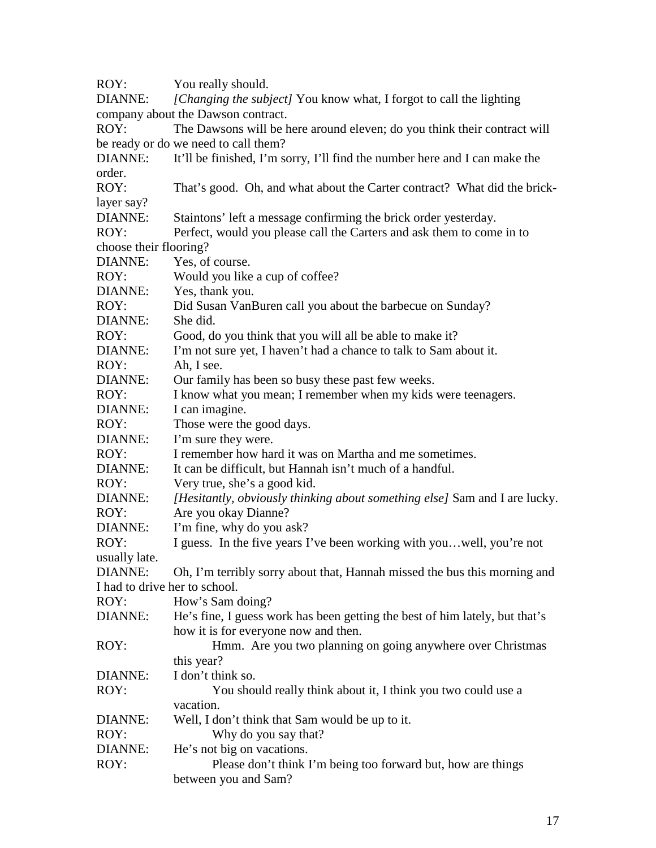ROY: You really should.

DIANNE: *[Changing the subject]* You know what, I forgot to call the lighting company about the Dawson contract.

ROY: The Dawsons will be here around eleven; do you think their contract will be ready or do we need to call them?

DIANNE: It'll be finished, I'm sorry, I'll find the number here and I can make the order.

ROY: That's good. Oh, and what about the Carter contract? What did the bricklayer say?

DIANNE: Staintons' left a message confirming the brick order yesterday.

ROY: Perfect, would you please call the Carters and ask them to come in to choose their flooring?

DIANNE: Yes, of course.

ROY: Would you like a cup of coffee?

DIANNE: Yes, thank you.

ROY: Did Susan VanBuren call you about the barbecue on Sunday?

DIANNE: She did.

ROY: Good, do you think that you will all be able to make it?

DIANNE: I'm not sure yet, I haven't had a chance to talk to Sam about it.

ROY: Ah, I see.

DIANNE: Our family has been so busy these past few weeks.

ROY: I know what you mean; I remember when my kids were teenagers.

DIANNE: I can imagine.

ROY: Those were the good days.

DIANNE: I'm sure they were.

ROY: I remember how hard it was on Martha and me sometimes.

DIANNE: It can be difficult, but Hannah isn't much of a handful.

ROY: Very true, she's a good kid.

DIANNE: *[Hesitantly, obviously thinking about something else]* Sam and I are lucky. ROY: Are you okay Dianne?

DIANNE: I'm fine, why do you ask?

ROY: I guess. In the five years I've been working with you... well, you're not usually late.

DIANNE: Oh, I'm terribly sorry about that, Hannah missed the bus this morning and I had to drive her to school.

ROY: How's Sam doing?

DIANNE: He's fine, I guess work has been getting the best of him lately, but that's how it is for everyone now and then.

ROY: Hmm. Are you two planning on going anywhere over Christmas this year? DIANNE: I don't think so.

ROY: You should really think about it, I think you two could use a vacation.

DIANNE: Well, I don't think that Sam would be up to it.

ROY: Why do you say that?

DIANNE: He's not big on vacations.

ROY: Please don't think I'm being too forward but, how are things between you and Sam?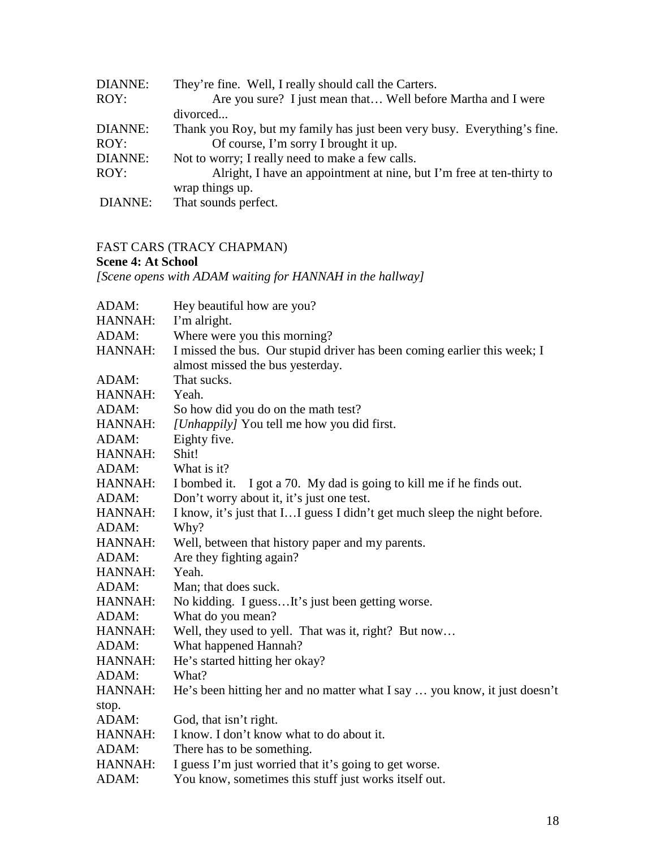| DIANNE: | They're fine. Well, I really should call the Carters.                    |
|---------|--------------------------------------------------------------------------|
| ROY:    | Are you sure? I just mean that Well before Martha and I were             |
|         | divorced                                                                 |
| DIANNE: | Thank you Roy, but my family has just been very busy. Everything's fine. |
| ROY:    | Of course, I'm sorry I brought it up.                                    |
| DIANNE: | Not to worry; I really need to make a few calls.                         |
| ROY:    | Alright, I have an appointment at nine, but I'm free at ten-thirty to    |
|         | wrap things up.                                                          |
| DIANNE: | That sounds perfect.                                                     |

## FAST CARS (TRACY CHAPMAN)

## **Scene 4: At School**

*[Scene opens with ADAM waiting for HANNAH in the hallway]*

| ADAM:   | Hey beautiful how are you?                                                 |
|---------|----------------------------------------------------------------------------|
| HANNAH: | I'm alright.                                                               |
| ADAM:   | Where were you this morning?                                               |
| HANNAH: | I missed the bus. Our stupid driver has been coming earlier this week; I   |
|         | almost missed the bus yesterday.                                           |
| ADAM:   | That sucks.                                                                |
| HANNAH: | Yeah.                                                                      |
| ADAM:   | So how did you do on the math test?                                        |
| HANNAH: | [Unhappily] You tell me how you did first.                                 |
| ADAM:   | Eighty five.                                                               |
| HANNAH: | Shit!                                                                      |
| ADAM:   | What is it?                                                                |
| HANNAH: | I got a 70. My dad is going to kill me if he finds out.<br>I bombed it.    |
| ADAM:   | Don't worry about it, it's just one test.                                  |
| HANNAH: | I know, it's just that I I guess I didn't get much sleep the night before. |
| ADAM:   | Why?                                                                       |
| HANNAH: | Well, between that history paper and my parents.                           |
| ADAM:   | Are they fighting again?                                                   |
| HANNAH: | Yeah.                                                                      |
| ADAM:   | Man; that does suck.                                                       |
| HANNAH: | No kidding. I guessIt's just been getting worse.                           |
| ADAM:   | What do you mean?                                                          |
| HANNAH: | Well, they used to yell. That was it, right? But now                       |
| ADAM:   | What happened Hannah?                                                      |
| HANNAH: | He's started hitting her okay?                                             |
| ADAM:   | What?                                                                      |
| HANNAH: | He's been hitting her and no matter what I say  you know, it just doesn't  |
| stop.   |                                                                            |
| ADAM:   | God, that isn't right.                                                     |
| HANNAH: | I know. I don't know what to do about it.                                  |
| ADAM:   | There has to be something.                                                 |
| HANNAH: | I guess I'm just worried that it's going to get worse.                     |
| ADAM:   | You know, sometimes this stuff just works itself out.                      |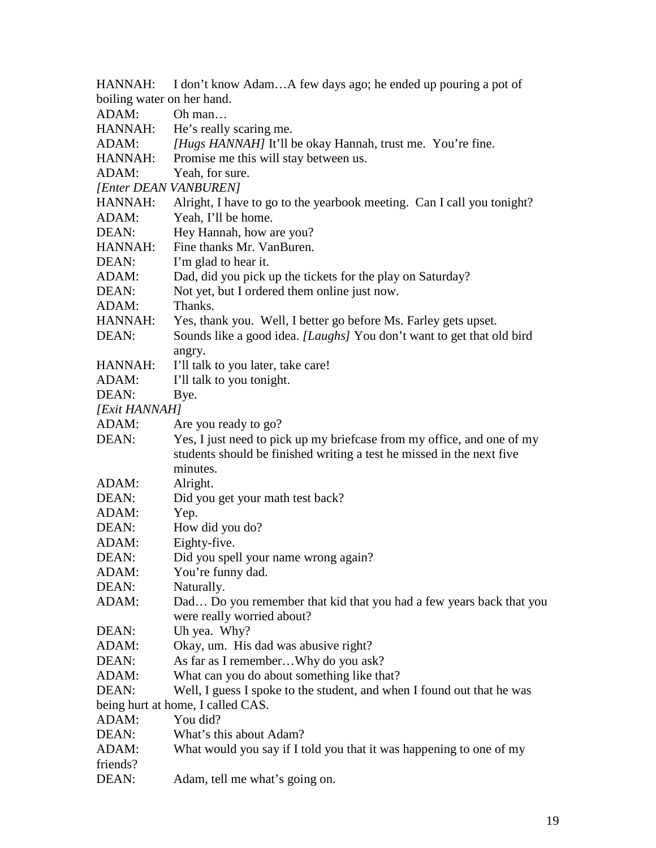| HANNAH:                           | I don't know AdamA few days ago; he ended up pouring a pot of          |  |
|-----------------------------------|------------------------------------------------------------------------|--|
| boiling water on her hand.        |                                                                        |  |
| ADAM:                             | Oh man                                                                 |  |
| HANNAH:                           | He's really scaring me.                                                |  |
| ADAM:                             | [Hugs HANNAH] It'll be okay Hannah, trust me. You're fine.             |  |
| HANNAH:                           | Promise me this will stay between us.                                  |  |
| ADAM:                             | Yeah, for sure.                                                        |  |
| [Enter DEAN VANBUREN]             |                                                                        |  |
| HANNAH:                           | Alright, I have to go to the yearbook meeting. Can I call you tonight? |  |
| ADAM:                             | Yeah, I'll be home.                                                    |  |
| DEAN:                             | Hey Hannah, how are you?                                               |  |
| HANNAH:                           | Fine thanks Mr. VanBuren.                                              |  |
| DEAN:                             | I'm glad to hear it.                                                   |  |
| ADAM:                             | Dad, did you pick up the tickets for the play on Saturday?             |  |
| DEAN:                             | Not yet, but I ordered them online just now.                           |  |
| ADAM:                             | Thanks.                                                                |  |
| HANNAH:                           | Yes, thank you. Well, I better go before Ms. Farley gets upset.        |  |
| DEAN:                             | Sounds like a good idea. [Laughs] You don't want to get that old bird  |  |
|                                   | angry.                                                                 |  |
| HANNAH:                           | I'll talk to you later, take care!                                     |  |
| ADAM:                             | I'll talk to you tonight.                                              |  |
| DEAN:                             | Bye.                                                                   |  |
| [Exit HANNAH]                     |                                                                        |  |
| ADAM:                             | Are you ready to go?                                                   |  |
| DEAN:                             | Yes, I just need to pick up my briefcase from my office, and one of my |  |
|                                   | students should be finished writing a test he missed in the next five  |  |
|                                   | minutes.                                                               |  |
| ADAM:                             | Alright.                                                               |  |
| DEAN:                             | Did you get your math test back?                                       |  |
| ADAM:                             | Yep.                                                                   |  |
| DEAN:                             | How did you do?                                                        |  |
| ADAM:                             | Eighty-five.                                                           |  |
| DEAN:                             | Did you spell your name wrong again?                                   |  |
| ADAM:                             | You're funny dad.                                                      |  |
| DEAN:                             | Naturally.                                                             |  |
| ADAM:                             | Dad Do you remember that kid that you had a few years back that you    |  |
|                                   | were really worried about?                                             |  |
| DEAN:                             | Uh yea. Why?                                                           |  |
| ADAM:                             | Okay, um. His dad was abusive right?                                   |  |
| DEAN:                             | As far as I rememberWhy do you ask?                                    |  |
| ADAM:                             | What can you do about something like that?                             |  |
| DEAN:                             | Well, I guess I spoke to the student, and when I found out that he was |  |
| being hurt at home, I called CAS. |                                                                        |  |
| ADAM:                             | You did?                                                               |  |
| DEAN:                             | What's this about Adam?                                                |  |
| ADAM:                             | What would you say if I told you that it was happening to one of my    |  |
| friends?                          |                                                                        |  |
| DEAN:                             | Adam, tell me what's going on.                                         |  |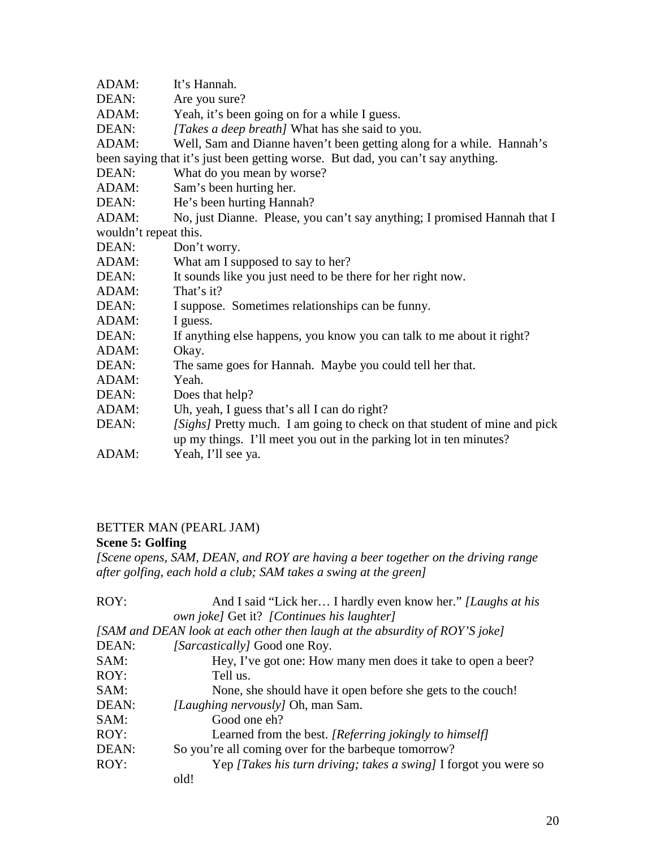| ADAM:                 | It's Hannah.                                                                    |  |
|-----------------------|---------------------------------------------------------------------------------|--|
| DEAN:                 | Are you sure?                                                                   |  |
| ADAM:                 | Yeah, it's been going on for a while I guess.                                   |  |
| DEAN:                 | [Takes a deep breath] What has she said to you.                                 |  |
| ADAM:                 | Well, Sam and Dianne haven't been getting along for a while. Hannah's           |  |
|                       | been saying that it's just been getting worse. But dad, you can't say anything. |  |
| DEAN:                 | What do you mean by worse?                                                      |  |
| ADAM:                 | Sam's been hurting her.                                                         |  |
| DEAN:                 | He's been hurting Hannah?                                                       |  |
| ADAM:                 | No, just Dianne. Please, you can't say anything; I promised Hannah that I       |  |
| wouldn't repeat this. |                                                                                 |  |
| DEAN:                 | Don't worry.                                                                    |  |
| ADAM:                 | What am I supposed to say to her?                                               |  |
| DEAN:                 | It sounds like you just need to be there for her right now.                     |  |
| ADAM:                 | That's it?                                                                      |  |
| DEAN:                 | I suppose. Sometimes relationships can be funny.                                |  |
| ADAM:                 | I guess.                                                                        |  |
| DEAN:                 | If anything else happens, you know you can talk to me about it right?           |  |
| ADAM:                 | Okay.                                                                           |  |
| DEAN:                 | The same goes for Hannah. Maybe you could tell her that.                        |  |
| ADAM:                 | Yeah.                                                                           |  |
| DEAN:                 | Does that help?                                                                 |  |
| ADAM:                 | Uh, yeah, I guess that's all I can do right?                                    |  |
| DEAN:                 | [Sighs] Pretty much. I am going to check on that student of mine and pick       |  |
|                       | up my things. I'll meet you out in the parking lot in ten minutes?              |  |
| ADAM:                 | Yeah, I'll see ya.                                                              |  |

## BETTER MAN (PEARL JAM)

### **Scene 5: Golfing**

*[Scene opens, SAM, DEAN, and ROY are having a beer together on the driving range after golfing, each hold a club; SAM takes a swing at the green]*

| ROY:  | And I said "Lick her I hardly even know her." [Laughs at his                |
|-------|-----------------------------------------------------------------------------|
|       | own joke] Get it? [Continues his laughter]                                  |
|       | [SAM and DEAN look at each other then laugh at the absurdity of ROY'S joke] |
| DEAN: | [Sarcastically] Good one Roy.                                               |
| SAM:  | Hey, I've got one: How many men does it take to open a beer?                |
| ROY:  | Tell us.                                                                    |
| SAM:  | None, she should have it open before she gets to the couch!                 |
| DEAN: | <i>[Laughing nervously]</i> Oh, man Sam.                                    |
| SAM:  | Good one eh?                                                                |
| ROY:  | Learned from the best. [Referring jokingly to himself]                      |
| DEAN: | So you're all coming over for the barbeque tomorrow?                        |
| ROY:  | Yep <i>[Takes his turn driving; takes a swing</i> ] I forgot you were so    |
|       | old!                                                                        |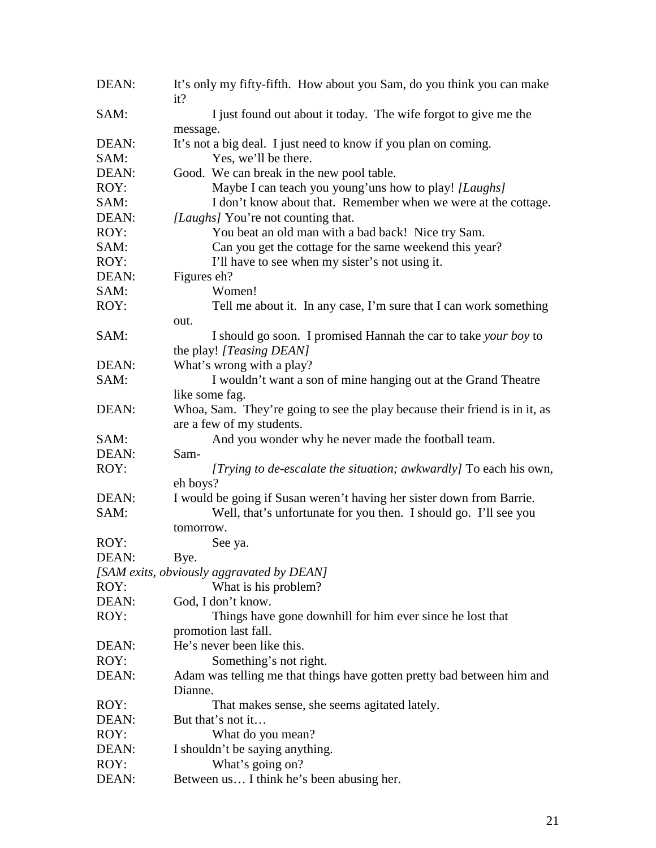| DEAN: | It's only my fifty-fifth. How about you Sam, do you think you can make<br>it? |
|-------|-------------------------------------------------------------------------------|
| SAM:  | I just found out about it today. The wife forgot to give me the               |
|       | message.                                                                      |
| DEAN: | It's not a big deal. I just need to know if you plan on coming.               |
| SAM:  | Yes, we'll be there.                                                          |
| DEAN: | Good. We can break in the new pool table.                                     |
| ROY:  | Maybe I can teach you young'uns how to play! [Laughs]                         |
| SAM:  | I don't know about that. Remember when we were at the cottage.                |
| DEAN: | [Laughs] You're not counting that.                                            |
| ROY:  | You beat an old man with a bad back! Nice try Sam.                            |
| SAM:  | Can you get the cottage for the same weekend this year?                       |
| ROY:  | I'll have to see when my sister's not using it.                               |
| DEAN: | Figures eh?                                                                   |
| SAM:  | Women!                                                                        |
| ROY:  | Tell me about it. In any case, I'm sure that I can work something             |
|       | out.                                                                          |
| SAM:  | I should go soon. I promised Hannah the car to take your boy to               |
|       | the play! [Teasing DEAN]                                                      |
| DEAN: | What's wrong with a play?                                                     |
| SAM:  | I wouldn't want a son of mine hanging out at the Grand Theatre                |
|       | like some fag.                                                                |
| DEAN: | Whoa, Sam. They're going to see the play because their friend is in it, as    |
|       | are a few of my students.                                                     |
| SAM:  | And you wonder why he never made the football team.                           |
| DEAN: | Sam-                                                                          |
| ROY:  | [Trying to de-escalate the situation; awkwardly] To each his own,             |
|       | eh boys?                                                                      |
| DEAN: | I would be going if Susan weren't having her sister down from Barrie.         |
| SAM:  | Well, that's unfortunate for you then. I should go. I'll see you              |
|       | tomorrow.                                                                     |
| ROY:  | See ya.                                                                       |
| DEAN: | Bye.                                                                          |
|       | [SAM exits, obviously aggravated by DEAN]                                     |
| ROY:  | What is his problem?                                                          |
| DEAN: | God, I don't know.                                                            |
| ROY:  | Things have gone downhill for him ever since he lost that                     |
|       | promotion last fall.                                                          |
| DEAN: | He's never been like this.                                                    |
| ROY:  | Something's not right.                                                        |
| DEAN: | Adam was telling me that things have gotten pretty bad between him and        |
|       | Dianne.                                                                       |
| ROY:  | That makes sense, she seems agitated lately.                                  |
| DEAN: | But that's not it                                                             |
| ROY:  | What do you mean?                                                             |
| DEAN: | I shouldn't be saying anything.                                               |
| ROY:  | What's going on?                                                              |
| DEAN: | Between us I think he's been abusing her.                                     |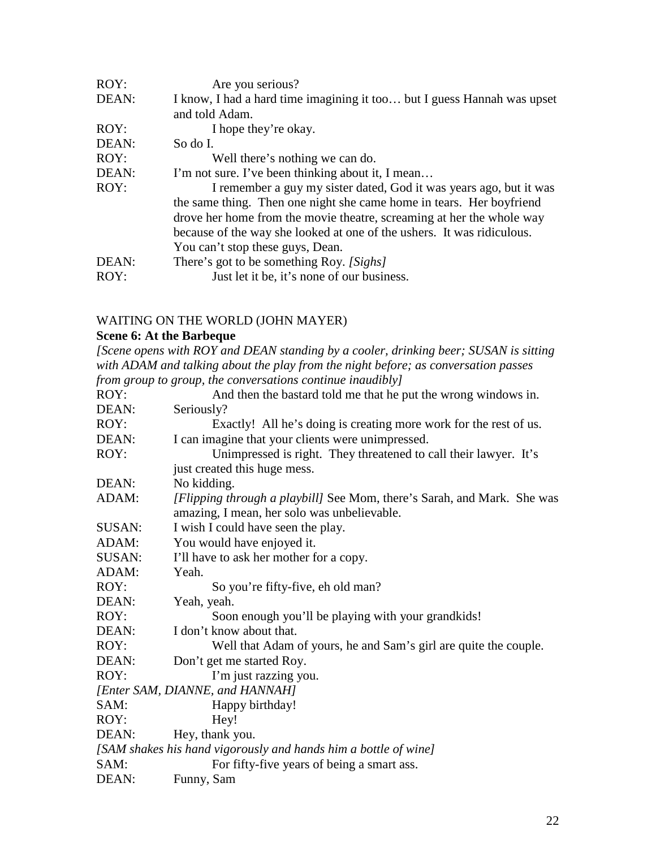| ROY:  | Are you serious?                                                        |
|-------|-------------------------------------------------------------------------|
| DEAN: | I know, I had a hard time imagining it too but I guess Hannah was upset |
|       | and told Adam.                                                          |
| ROY:  | I hope they're okay.                                                    |
| DEAN: | So do L                                                                 |
| ROY:  | Well there's nothing we can do.                                         |
| DEAN: | I'm not sure. I've been thinking about it, I mean                       |
| ROY:  | I remember a guy my sister dated, God it was years ago, but it was      |
|       | the same thing. Then one night she came home in tears. Her boyfriend    |
|       | drove her home from the movie theatre, screaming at her the whole way   |
|       | because of the way she looked at one of the ushers. It was ridiculous.  |
|       | You can't stop these guys, Dean.                                        |
| DEAN: | There's got to be something Roy. [Sighs]                                |
| ROY:  | Just let it be, it's none of our business.                              |

#### WAITING ON THE WORLD (JOHN MAYER)

#### **Scene 6: At the Barbeque**

*[Scene opens with ROY and DEAN standing by a cooler, drinking beer; SUSAN is sitting with ADAM and talking about the play from the night before; as conversation passes from group to group, the conversations continue inaudibly]*

| ROY:   | And then the bastard told me that he put the wrong windows in.          |
|--------|-------------------------------------------------------------------------|
| DEAN:  | Seriously?                                                              |
| ROY:   | Exactly! All he's doing is creating more work for the rest of us.       |
| DEAN:  | I can imagine that your clients were unimpressed.                       |
| ROY:   | Unimpressed is right. They threatened to call their lawyer. It's        |
|        | just created this huge mess.                                            |
| DEAN:  | No kidding.                                                             |
| ADAM:  | [Flipping through a playbill] See Mom, there's Sarah, and Mark. She was |
|        | amazing, I mean, her solo was unbelievable.                             |
| SUSAN: | I wish I could have seen the play.                                      |
| ADAM:  | You would have enjoyed it.                                              |
| SUSAN: | I'll have to ask her mother for a copy.                                 |
| ADAM:  | Yeah.                                                                   |
| ROY:   | So you're fifty-five, eh old man?                                       |
| DEAN:  | Yeah, yeah.                                                             |
| ROY:   | Soon enough you'll be playing with your grandkids!                      |
| DEAN:  | I don't know about that.                                                |
| ROY:   | Well that Adam of yours, he and Sam's girl are quite the couple.        |
| DEAN:  | Don't get me started Roy.                                               |
| ROY:   | I'm just razzing you.                                                   |
|        | [Enter SAM, DIANNE, and HANNAH]                                         |
| SAM:   | Happy birthday!                                                         |
| ROY:   | Hey!                                                                    |
| DEAN:  | Hey, thank you.                                                         |
|        | [SAM shakes his hand vigorously and hands him a bottle of wine]         |
| SAM:   | For fifty-five years of being a smart ass.                              |
| DEAN:  | Funny, Sam                                                              |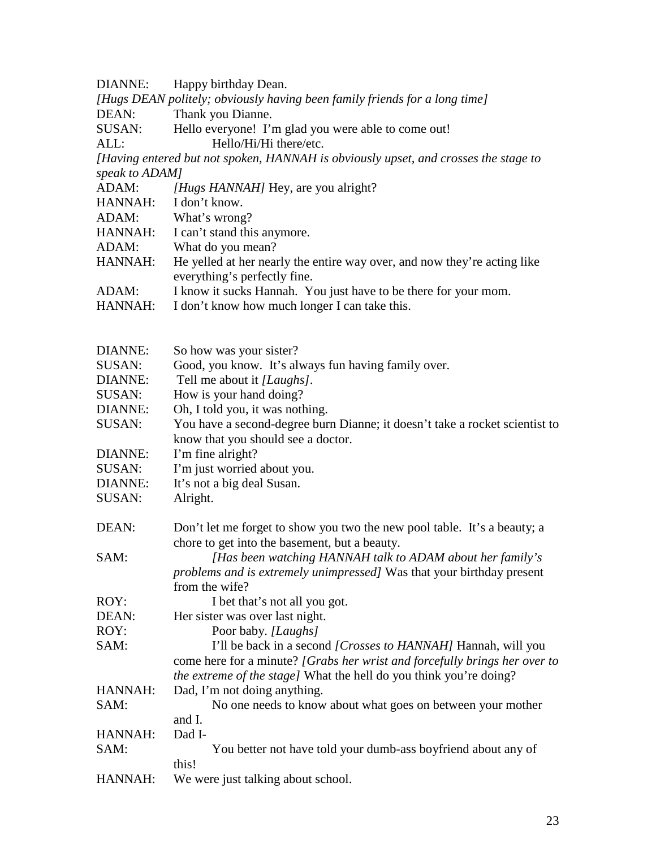DIANNE: Happy birthday Dean.

*[Hugs DEAN politely; obviously having been family friends for a long time]*

DEAN: Thank you Dianne.

SUSAN: Hello everyone! I'm glad you were able to come out!<br>ALL: Hello/Hi/Hi there/etc.

Hello/Hi/Hi there/etc.

*[Having entered but not spoken, HANNAH is obviously upset, and crosses the stage to speak to ADAM]*

| ADAM:          | [Hugs HANNAH] Hey, are you alright?                                                                                                                                                                   |
|----------------|-------------------------------------------------------------------------------------------------------------------------------------------------------------------------------------------------------|
| HANNAH:        | I don't know.                                                                                                                                                                                         |
| ADAM:          | What's wrong?                                                                                                                                                                                         |
| HANNAH:        | I can't stand this anymore.                                                                                                                                                                           |
| ADAM:          | What do you mean?                                                                                                                                                                                     |
| HANNAH:        | He yelled at her nearly the entire way over, and now they're acting like<br>everything's perfectly fine.                                                                                              |
| ADAM:          | I know it sucks Hannah. You just have to be there for your mom.                                                                                                                                       |
| HANNAH:        | I don't know how much longer I can take this.                                                                                                                                                         |
| DIANNE:        | So how was your sister?                                                                                                                                                                               |
| SUSAN:         | Good, you know. It's always fun having family over.                                                                                                                                                   |
| DIANNE:        | Tell me about it [Laughs].                                                                                                                                                                            |
| SUSAN:         | How is your hand doing?                                                                                                                                                                               |
| DIANNE:        | Oh, I told you, it was nothing.                                                                                                                                                                       |
| SUSAN:         | You have a second-degree burn Dianne; it doesn't take a rocket scientist to<br>know that you should see a doctor.                                                                                     |
| DIANNE:        | I'm fine alright?                                                                                                                                                                                     |
| SUSAN:         | I'm just worried about you.                                                                                                                                                                           |
| <b>DIANNE:</b> | It's not a big deal Susan.                                                                                                                                                                            |
| SUSAN:         | Alright.                                                                                                                                                                                              |
| DEAN:          | Don't let me forget to show you two the new pool table. It's a beauty; a                                                                                                                              |
| SAM:           | chore to get into the basement, but a beauty.<br>[Has been watching HANNAH talk to ADAM about her family's<br>problems and is extremely unimpressed] Was that your birthday present<br>from the wife? |
| ROY:           | I bet that's not all you got.                                                                                                                                                                         |
| DEAN:          | Her sister was over last night.                                                                                                                                                                       |
| ROY:           | Poor baby. [Laughs]                                                                                                                                                                                   |
| SAM:           | I'll be back in a second [Crosses to HANNAH] Hannah, will you                                                                                                                                         |
|                | come here for a minute? [Grabs her wrist and forcefully brings her over to<br><i>the extreme of the stage]</i> What the hell do you think you're doing?                                               |
| HANNAH:        | Dad, I'm not doing anything.                                                                                                                                                                          |
| SAM:           | No one needs to know about what goes on between your mother                                                                                                                                           |
|                | and I.                                                                                                                                                                                                |
| HANNAH:        | Dad I-                                                                                                                                                                                                |
| SAM:           | You better not have told your dumb-ass boyfriend about any of<br>this!                                                                                                                                |
| HANNAH:        | We were just talking about school.                                                                                                                                                                    |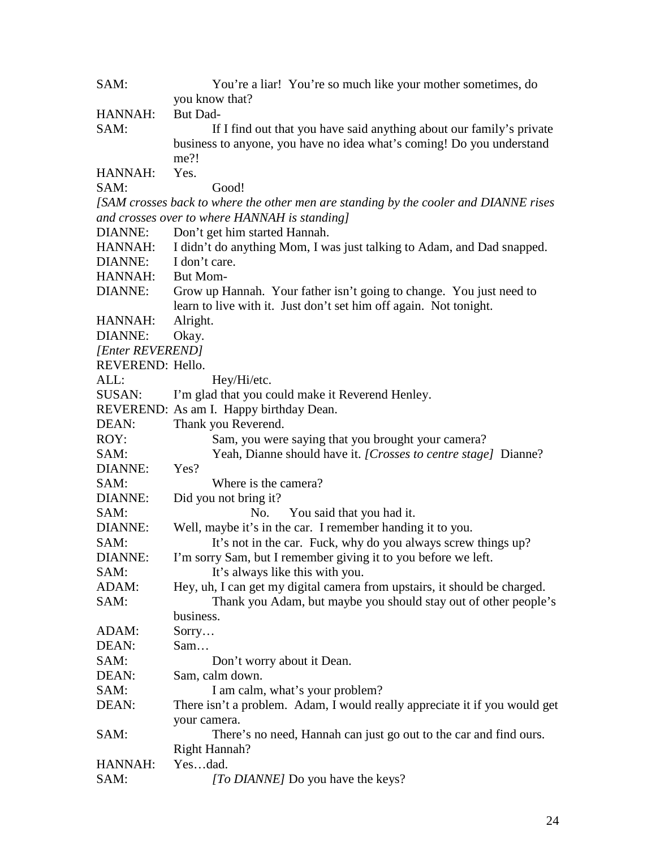| SAM:             | You're a liar! You're so much like your mother sometimes, do                         |
|------------------|--------------------------------------------------------------------------------------|
|                  | you know that?                                                                       |
| HANNAH:          | But Dad-                                                                             |
| SAM:             | If I find out that you have said anything about our family's private                 |
|                  | business to anyone, you have no idea what's coming! Do you understand                |
|                  | me?!                                                                                 |
| HANNAH:          | Yes.                                                                                 |
| SAM:             | Good!                                                                                |
|                  | [SAM crosses back to where the other men are standing by the cooler and DIANNE rises |
|                  | and crosses over to where HANNAH is standing]                                        |
| <b>DIANNE:</b>   | Don't get him started Hannah.                                                        |
| HANNAH:          | I didn't do anything Mom, I was just talking to Adam, and Dad snapped.               |
| DIANNE:          | I don't care.                                                                        |
| <b>HANNAH:</b>   | <b>But Mom-</b>                                                                      |
| DIANNE:          | Grow up Hannah. Your father isn't going to change. You just need to                  |
|                  | learn to live with it. Just don't set him off again. Not tonight.                    |
| HANNAH:          | Alright.                                                                             |
| <b>DIANNE:</b>   | Okay.                                                                                |
| [Enter REVEREND] |                                                                                      |
| REVEREND: Hello. |                                                                                      |
| ALL:             | Hey/Hi/etc.                                                                          |
| SUSAN:           | I'm glad that you could make it Reverend Henley.                                     |
|                  | REVEREND: As am I. Happy birthday Dean.                                              |
| DEAN:            | Thank you Reverend.                                                                  |
| ROY:             | Sam, you were saying that you brought your camera?                                   |
| SAM:             | Yeah, Dianne should have it. [Crosses to centre stage] Dianne?                       |
| DIANNE:          | Yes?                                                                                 |
| SAM:             | Where is the camera?                                                                 |
| DIANNE:          | Did you not bring it?                                                                |
| SAM:             | You said that you had it.<br>No.                                                     |
| <b>DIANNE:</b>   | Well, maybe it's in the car. I remember handing it to you.                           |
| SAM:             | It's not in the car. Fuck, why do you always screw things up?                        |
| DIANNE:          | I'm sorry Sam, but I remember giving it to you before we left.                       |
| SAM:             | It's always like this with you.                                                      |
| ADAM:            | Hey, uh, I can get my digital camera from upstairs, it should be charged.            |
| SAM:             | Thank you Adam, but maybe you should stay out of other people's                      |
|                  | business.                                                                            |
| ADAM:            | Sorry                                                                                |
| DEAN:            | Sam                                                                                  |
| SAM:             | Don't worry about it Dean.                                                           |
| DEAN:            | Sam, calm down.                                                                      |
| SAM:             | I am calm, what's your problem?                                                      |
| DEAN:            | There isn't a problem. Adam, I would really appreciate it if you would get           |
|                  | your camera.                                                                         |
| SAM:             | There's no need, Hannah can just go out to the car and find ours.                    |
|                  | <b>Right Hannah?</b>                                                                 |
| HANNAH:          | Yesdad.                                                                              |
| SAM:             | [To DIANNE] Do you have the keys?                                                    |